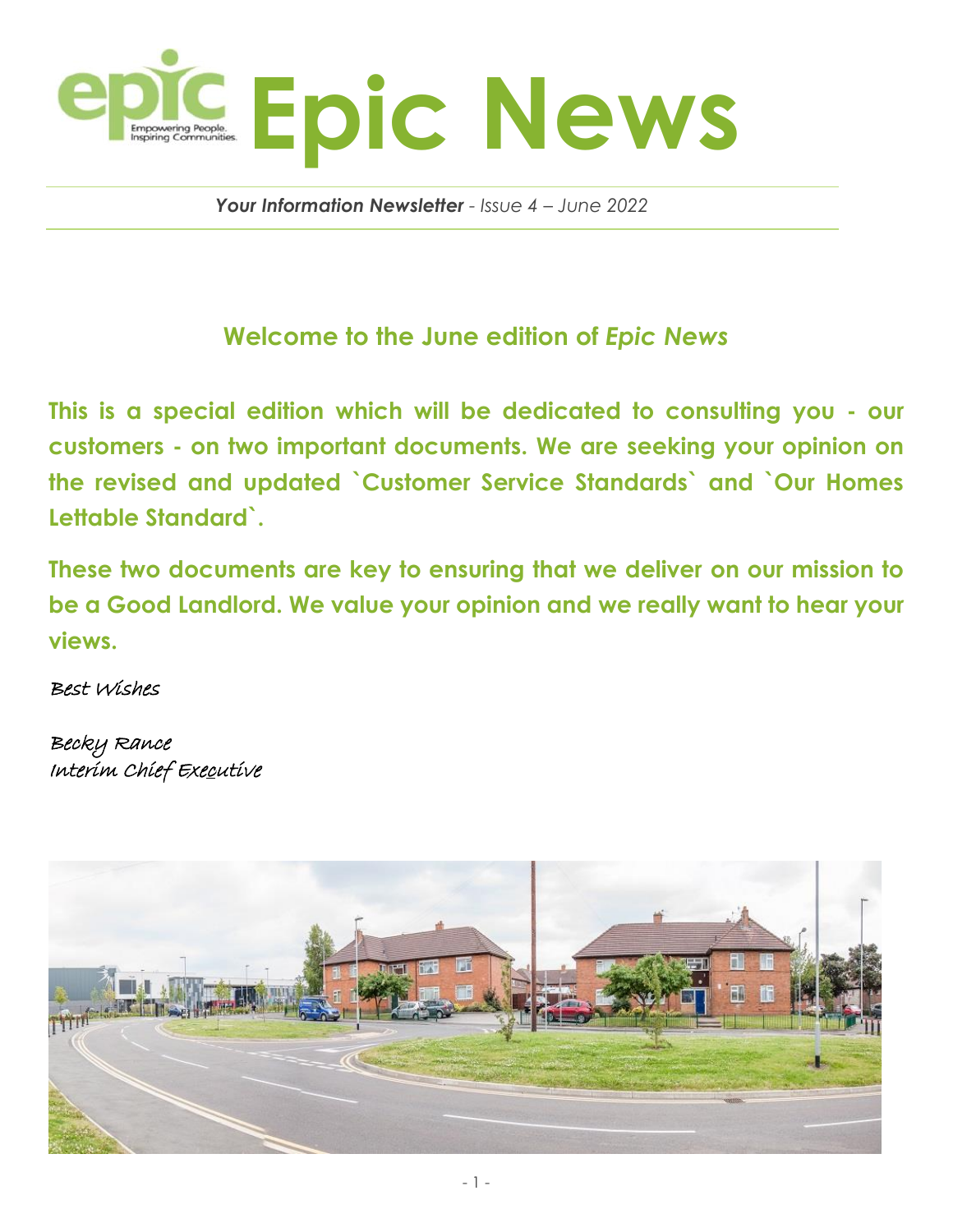

 *Your Information Newsletter - Issue 4 – June 2022*

## **Welcome to the June edition of** *Epic News*

**This is a special edition which will be dedicated to consulting you - our customers - on two important documents. We are seeking your opinion on the revised and updated `Customer Service Standards` and `Our Homes Lettable Standard`.** 

**These two documents are key to ensuring that we deliver on our mission to be a Good Landlord. We value your opinion and we really want to hear your views.**

Best Wishes

Becky Rance Interim Chief Executive

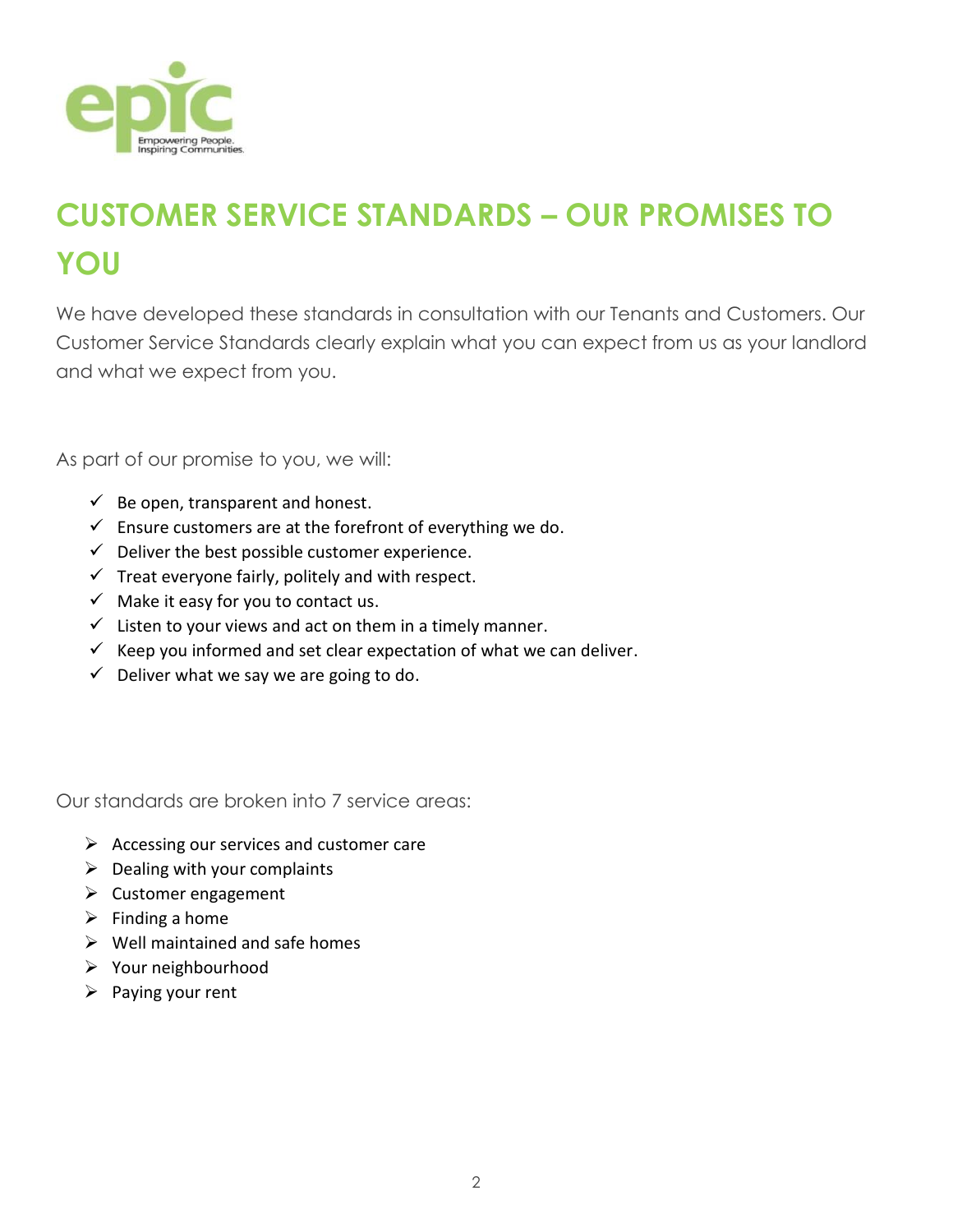

# **CUSTOMER SERVICE STANDARDS – OUR PROMISES TO YOU**

We have developed these standards in consultation with our Tenants and Customers. Our Customer Service Standards clearly explain what you can expect from us as your landlord and what we expect from you.

As part of our promise to you, we will:

- $\checkmark$  Be open, transparent and honest.
- $\checkmark$  Ensure customers are at the forefront of everything we do.
- $\checkmark$  Deliver the best possible customer experience.
- $\checkmark$  Treat everyone fairly, politely and with respect.
- $\checkmark$  Make it easy for you to contact us.
- $\checkmark$  Listen to your views and act on them in a timely manner.
- $\checkmark$  Keep you informed and set clear expectation of what we can deliver.
- $\checkmark$  Deliver what we say we are going to do.

Our standards are broken into 7 service areas:

- $\triangleright$  Accessing our services and customer care
- $\triangleright$  Dealing with your complaints
- $\triangleright$  Customer engagement
- $\triangleright$  Finding a home
- $\triangleright$  Well maintained and safe homes
- Your neighbourhood
- $\triangleright$  Paying your rent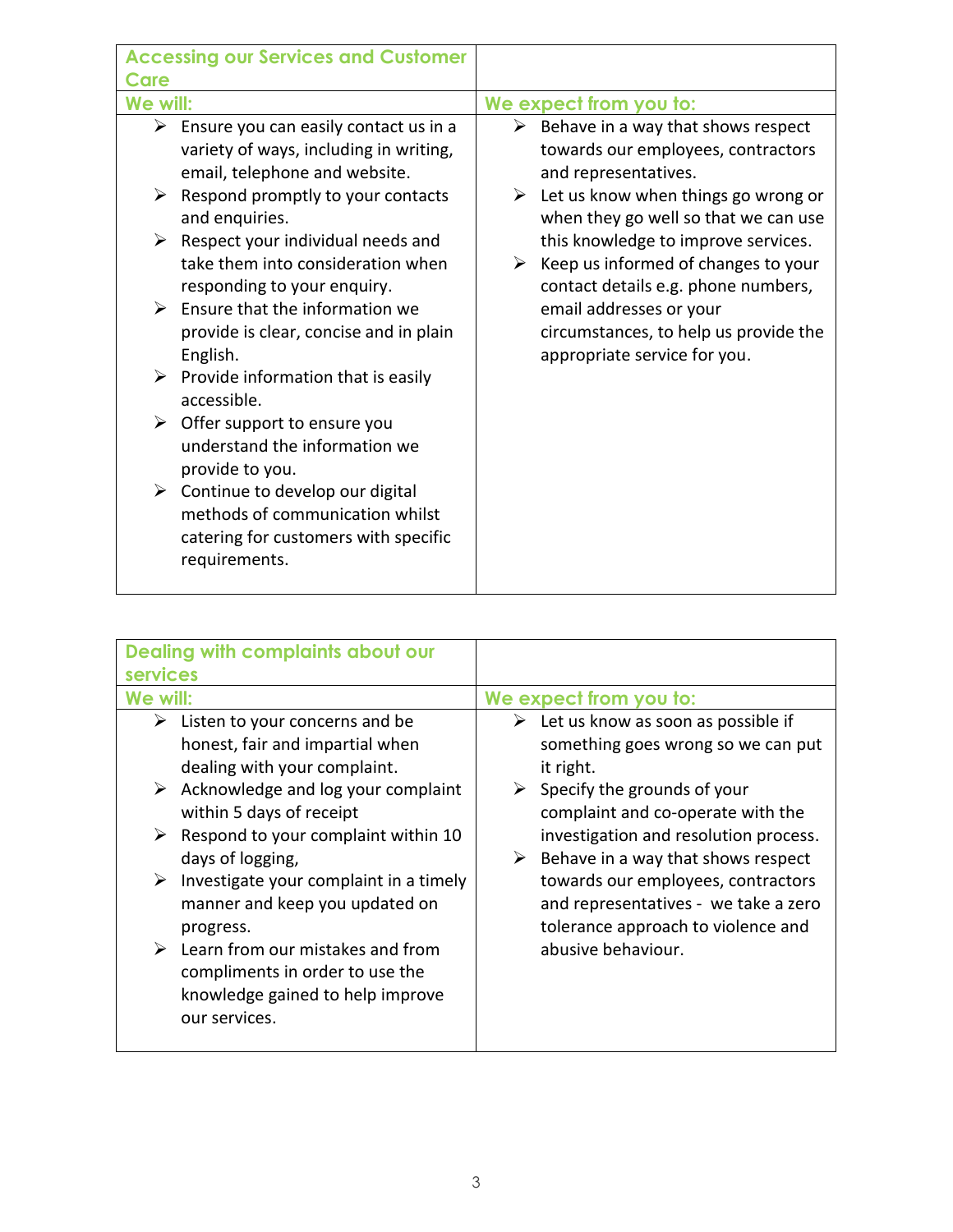| <b>Accessing our Services and Customer</b>                                                                                                                                                                                                                                                                                                                                                                                                                                                                                                                                                                                                                                                                             |                                                                                                                                                                                                                                                                                                                                                                                                                                     |
|------------------------------------------------------------------------------------------------------------------------------------------------------------------------------------------------------------------------------------------------------------------------------------------------------------------------------------------------------------------------------------------------------------------------------------------------------------------------------------------------------------------------------------------------------------------------------------------------------------------------------------------------------------------------------------------------------------------------|-------------------------------------------------------------------------------------------------------------------------------------------------------------------------------------------------------------------------------------------------------------------------------------------------------------------------------------------------------------------------------------------------------------------------------------|
| Care                                                                                                                                                                                                                                                                                                                                                                                                                                                                                                                                                                                                                                                                                                                   |                                                                                                                                                                                                                                                                                                                                                                                                                                     |
| We will:                                                                                                                                                                                                                                                                                                                                                                                                                                                                                                                                                                                                                                                                                                               | We expect from you to:                                                                                                                                                                                                                                                                                                                                                                                                              |
| Ensure you can easily contact us in a<br>➤<br>variety of ways, including in writing,<br>email, telephone and website.<br>Respond promptly to your contacts<br>➤<br>and enquiries.<br>Respect your individual needs and<br>➤<br>take them into consideration when<br>responding to your enquiry.<br>Ensure that the information we<br>➤<br>provide is clear, concise and in plain<br>English.<br>$\triangleright$ Provide information that is easily<br>accessible.<br>$\triangleright$ Offer support to ensure you<br>understand the information we<br>provide to you.<br>$\triangleright$ Continue to develop our digital<br>methods of communication whilst<br>catering for customers with specific<br>requirements. | $\triangleright$ Behave in a way that shows respect<br>towards our employees, contractors<br>and representatives.<br>Let us know when things go wrong or<br>➤<br>when they go well so that we can use<br>this knowledge to improve services.<br>Keep us informed of changes to your<br>➤<br>contact details e.g. phone numbers,<br>email addresses or your<br>circumstances, to help us provide the<br>appropriate service for you. |

| Dealing with complaints about our<br><b>services</b>                                                                                                                                                                                                                                                                                                                                                                                                                                     |                                                                                                                                                                                                                                                                                                                                                                                                                           |
|------------------------------------------------------------------------------------------------------------------------------------------------------------------------------------------------------------------------------------------------------------------------------------------------------------------------------------------------------------------------------------------------------------------------------------------------------------------------------------------|---------------------------------------------------------------------------------------------------------------------------------------------------------------------------------------------------------------------------------------------------------------------------------------------------------------------------------------------------------------------------------------------------------------------------|
| We will:                                                                                                                                                                                                                                                                                                                                                                                                                                                                                 | We expect from you to:                                                                                                                                                                                                                                                                                                                                                                                                    |
| Listen to your concerns and be<br>➤<br>honest, fair and impartial when<br>dealing with your complaint.<br>$\triangleright$ Acknowledge and log your complaint<br>within 5 days of receipt<br>Respond to your complaint within 10<br>➤<br>days of logging,<br>Investigate your complaint in a timely<br>➤<br>manner and keep you updated on<br>progress.<br>Learn from our mistakes and from<br>➤<br>compliments in order to use the<br>knowledge gained to help improve<br>our services. | $\triangleright$ Let us know as soon as possible if<br>something goes wrong so we can put<br>it right.<br>$\triangleright$ Specify the grounds of your<br>complaint and co-operate with the<br>investigation and resolution process.<br>Behave in a way that shows respect<br>➤<br>towards our employees, contractors<br>and representatives - we take a zero<br>tolerance approach to violence and<br>abusive behaviour. |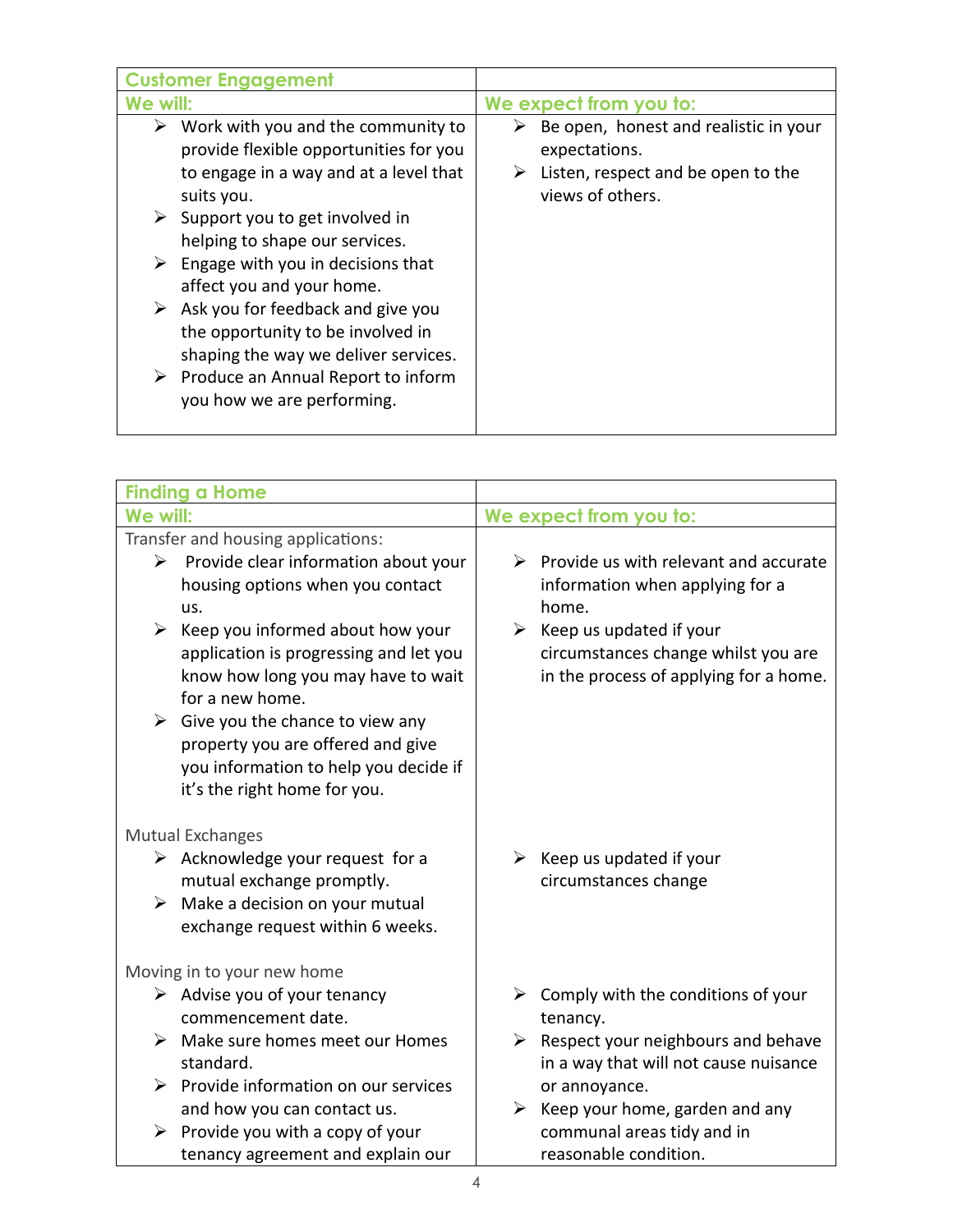| <b>Customer Engagement</b>                                                                                                                                                                                                                                                                                                                                                                                                                                                      |                                                                                                                            |
|---------------------------------------------------------------------------------------------------------------------------------------------------------------------------------------------------------------------------------------------------------------------------------------------------------------------------------------------------------------------------------------------------------------------------------------------------------------------------------|----------------------------------------------------------------------------------------------------------------------------|
| We will:                                                                                                                                                                                                                                                                                                                                                                                                                                                                        | We expect from you to:                                                                                                     |
| Work with you and the community to<br>➤<br>provide flexible opportunities for you<br>to engage in a way and at a level that<br>suits you.<br>Support you to get involved in<br>➤<br>helping to shape our services.<br>Engage with you in decisions that<br>affect you and your home.<br>Ask you for feedback and give you<br>➤<br>the opportunity to be involved in<br>shaping the way we deliver services.<br>Produce an Annual Report to inform<br>you how we are performing. | Be open, honest and realistic in your<br>➤<br>expectations.<br>Listen, respect and be open to the<br>➤<br>views of others. |

| <b>Finding a Home</b>                                                                                                                                                                                                                                                                                                                                                                                                                                |                                                                                                                                                                                                                     |
|------------------------------------------------------------------------------------------------------------------------------------------------------------------------------------------------------------------------------------------------------------------------------------------------------------------------------------------------------------------------------------------------------------------------------------------------------|---------------------------------------------------------------------------------------------------------------------------------------------------------------------------------------------------------------------|
| We will:                                                                                                                                                                                                                                                                                                                                                                                                                                             | We expect from you to:                                                                                                                                                                                              |
| Transfer and housing applications:<br>Provide clear information about your<br>➤<br>housing options when you contact<br>us.<br>$\triangleright$ Keep you informed about how your<br>application is progressing and let you<br>know how long you may have to wait<br>for a new home.<br>$\triangleright$ Give you the chance to view any<br>property you are offered and give<br>you information to help you decide if<br>it's the right home for you. | Provide us with relevant and accurate<br>➤<br>information when applying for a<br>home.<br>$\triangleright$ Keep us updated if your<br>circumstances change whilst you are<br>in the process of applying for a home. |
| <b>Mutual Exchanges</b><br>$\triangleright$ Acknowledge your request for a<br>mutual exchange promptly.<br>$\triangleright$ Make a decision on your mutual<br>exchange request within 6 weeks.                                                                                                                                                                                                                                                       | $\triangleright$ Keep us updated if your<br>circumstances change                                                                                                                                                    |
| Moving in to your new home                                                                                                                                                                                                                                                                                                                                                                                                                           |                                                                                                                                                                                                                     |
| $\triangleright$ Advise you of your tenancy<br>commencement date.<br>$\triangleright$ Make sure homes meet our Homes<br>standard.<br>$\triangleright$ Provide information on our services                                                                                                                                                                                                                                                            | $\triangleright$ Comply with the conditions of your<br>tenancy.<br>Respect your neighbours and behave<br>➤<br>in a way that will not cause nuisance<br>or annoyance.                                                |
| and how you can contact us.<br>$\triangleright$ Provide you with a copy of your<br>tenancy agreement and explain our                                                                                                                                                                                                                                                                                                                                 | Keep your home, garden and any<br>➤<br>communal areas tidy and in<br>reasonable condition.                                                                                                                          |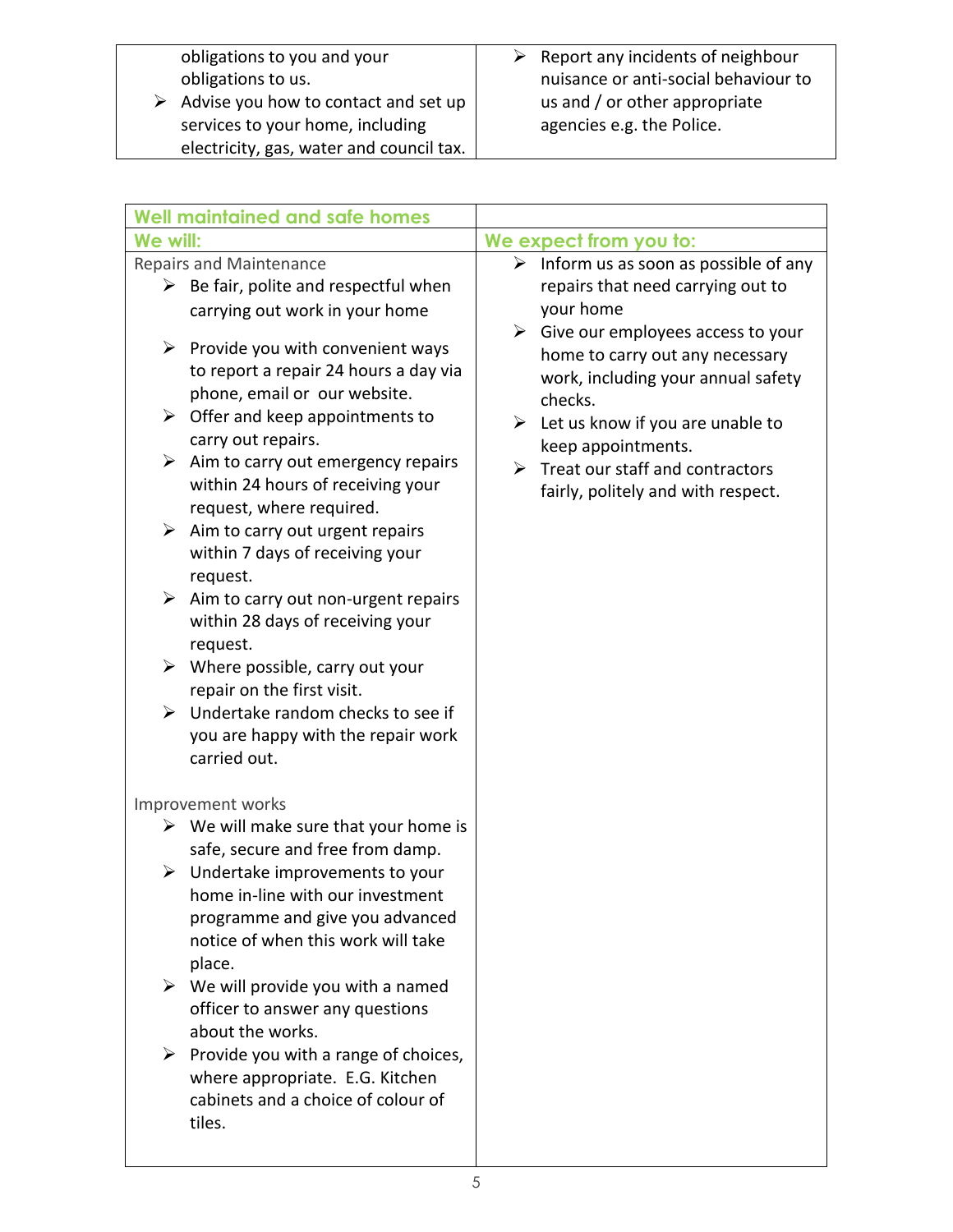obligations to you and your obligations to us.

 $\triangleright$  Advise you how to contact and set up services to your home, including electricity, gas, water and council tax.

| <b>Well maintained and safe homes</b>                                                                                                                                                                                                                                               |                                                                                                                                                                                                                                               |
|-------------------------------------------------------------------------------------------------------------------------------------------------------------------------------------------------------------------------------------------------------------------------------------|-----------------------------------------------------------------------------------------------------------------------------------------------------------------------------------------------------------------------------------------------|
| We will:                                                                                                                                                                                                                                                                            | We expect from you to:                                                                                                                                                                                                                        |
| Repairs and Maintenance<br>$\triangleright$ Be fair, polite and respectful when<br>carrying out work in your home                                                                                                                                                                   | $\triangleright$ Inform us as soon as possible of any<br>repairs that need carrying out to<br>your home                                                                                                                                       |
| $\triangleright$ Provide you with convenient ways<br>to report a repair 24 hours a day via<br>phone, email or our website.<br>Offer and keep appointments to<br>➤<br>carry out repairs.<br>$\triangleright$ Aim to carry out emergency repairs<br>within 24 hours of receiving your | $\triangleright$ Give our employees access to your<br>home to carry out any necessary<br>work, including your annual safety<br>checks.<br>Let us know if you are unable to<br>➤<br>keep appointments.<br>Treat our staff and contractors<br>➤ |
| request, where required.<br>$\triangleright$ Aim to carry out urgent repairs<br>within 7 days of receiving your<br>request.                                                                                                                                                         | fairly, politely and with respect.                                                                                                                                                                                                            |
| $\triangleright$ Aim to carry out non-urgent repairs<br>within 28 days of receiving your<br>request.                                                                                                                                                                                |                                                                                                                                                                                                                                               |
| $\triangleright$ Where possible, carry out your<br>repair on the first visit.                                                                                                                                                                                                       |                                                                                                                                                                                                                                               |
| Undertake random checks to see if<br>➤<br>you are happy with the repair work<br>carried out.                                                                                                                                                                                        |                                                                                                                                                                                                                                               |
| Improvement works                                                                                                                                                                                                                                                                   |                                                                                                                                                                                                                                               |
| $\triangleright$ We will make sure that your home is<br>safe, secure and free from damp.                                                                                                                                                                                            |                                                                                                                                                                                                                                               |
| Undertake improvements to your<br>➤<br>home in-line with our investment<br>programme and give you advanced<br>notice of when this work will take<br>place.                                                                                                                          |                                                                                                                                                                                                                                               |
| $\triangleright$ We will provide you with a named<br>officer to answer any questions<br>about the works.                                                                                                                                                                            |                                                                                                                                                                                                                                               |
| Provide you with a range of choices,<br>➤<br>where appropriate. E.G. Kitchen<br>cabinets and a choice of colour of<br>tiles.                                                                                                                                                        |                                                                                                                                                                                                                                               |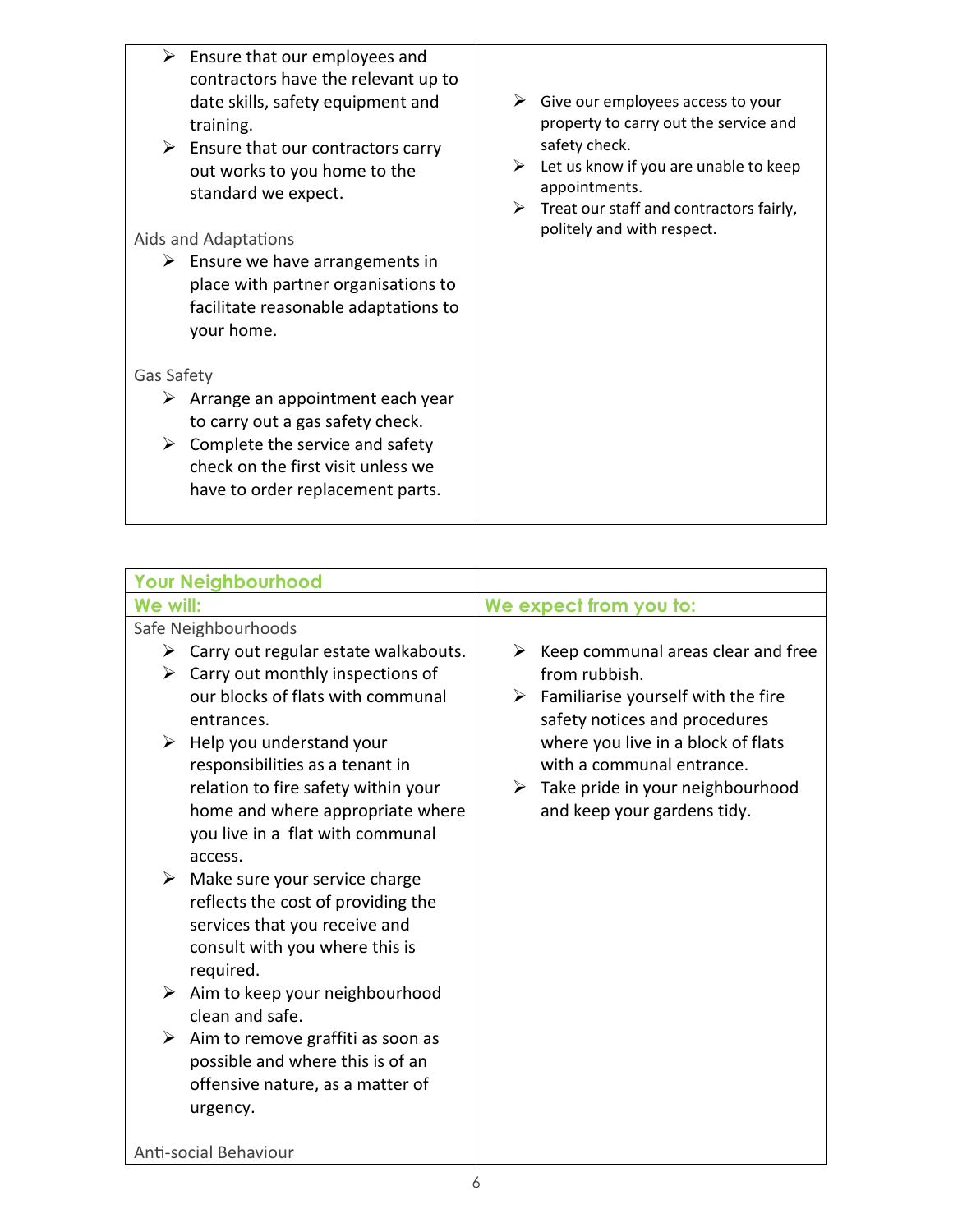| $\triangleright$ Ensure that our employees and<br>contractors have the relevant up to<br>date skills, safety equipment and<br>training.<br>$\triangleright$ Ensure that our contractors carry<br>out works to you home to the<br>standard we expect.<br>Aids and Adaptations<br>$\triangleright$ Ensure we have arrangements in<br>place with partner organisations to<br>facilitate reasonable adaptations to<br>your home. | Give our employees access to your<br>➤<br>property to carry out the service and<br>safety check.<br>Let us know if you are unable to keep<br>➤<br>appointments.<br>Treat our staff and contractors fairly,<br>➤<br>politely and with respect. |
|------------------------------------------------------------------------------------------------------------------------------------------------------------------------------------------------------------------------------------------------------------------------------------------------------------------------------------------------------------------------------------------------------------------------------|-----------------------------------------------------------------------------------------------------------------------------------------------------------------------------------------------------------------------------------------------|
| Gas Safety<br>Arrange an appointment each year<br>➤<br>to carry out a gas safety check.<br>Complete the service and safety<br>➤<br>check on the first visit unless we<br>have to order replacement parts.                                                                                                                                                                                                                    |                                                                                                                                                                                                                                               |

|                     | <b>Your Neighbourhood</b>                                                                                                                                                             |                                                                                                                                                     |
|---------------------|---------------------------------------------------------------------------------------------------------------------------------------------------------------------------------------|-----------------------------------------------------------------------------------------------------------------------------------------------------|
| We will:            |                                                                                                                                                                                       | We expect from you to:                                                                                                                              |
| Safe Neighbourhoods |                                                                                                                                                                                       |                                                                                                                                                     |
|                     | $\triangleright$ Carry out regular estate walkabouts.<br>$\triangleright$ Carry out monthly inspections of<br>our blocks of flats with communal<br>entrances.                         | Keep communal areas clear and free<br>➤<br>from rubbish.<br>Familiarise yourself with the fire<br>➤<br>safety notices and procedures                |
| ➤                   | Help you understand your<br>responsibilities as a tenant in<br>relation to fire safety within your<br>home and where appropriate where<br>you live in a flat with communal<br>access. | where you live in a block of flats<br>with a communal entrance.<br>$\triangleright$ Take pride in your neighbourhood<br>and keep your gardens tidy. |
|                     | $\triangleright$ Make sure your service charge<br>reflects the cost of providing the<br>services that you receive and<br>consult with you where this is<br>required.                  |                                                                                                                                                     |
|                     | $\triangleright$ Aim to keep your neighbourhood<br>clean and safe.                                                                                                                    |                                                                                                                                                     |
| ➤                   | Aim to remove graffiti as soon as<br>possible and where this is of an<br>offensive nature, as a matter of<br>urgency.                                                                 |                                                                                                                                                     |
|                     | Anti-social Behaviour                                                                                                                                                                 |                                                                                                                                                     |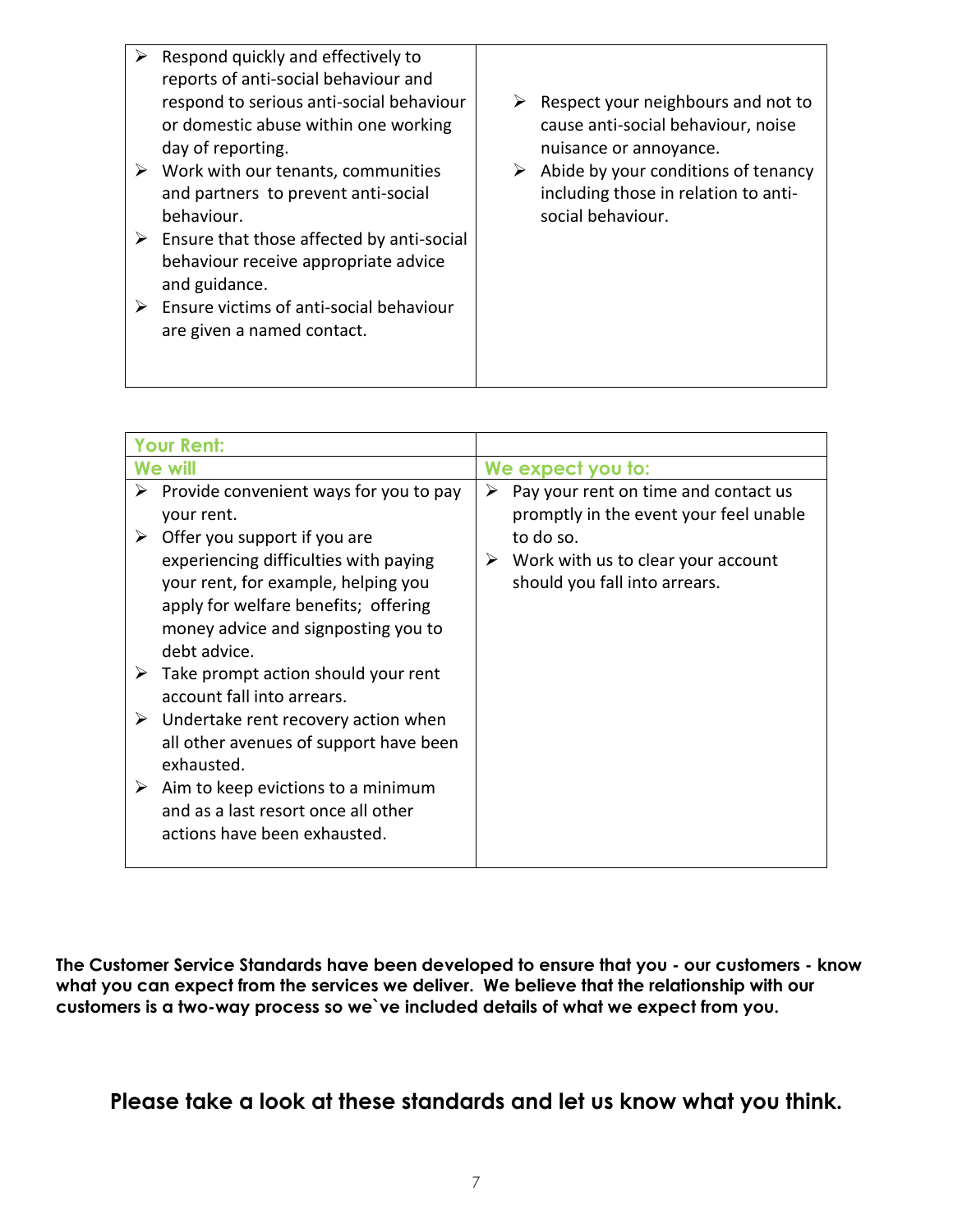| $\triangleright$ Ensure that those affected by anti-social<br>behaviour receive appropriate advice<br>and guidance.<br>Ensure victims of anti-social behaviour<br>➤<br>are given a named contact. | ➤ | Respond quickly and effectively to<br>reports of anti-social behaviour and<br>respond to serious anti-social behaviour<br>or domestic abuse within one working<br>day of reporting.<br>Work with our tenants, communities<br>and partners to prevent anti-social<br>behaviour. | ➤<br>➤ | Respect your neighbours and not to<br>cause anti-social behaviour, noise<br>nuisance or annoyance.<br>Abide by your conditions of tenancy<br>including those in relation to anti-<br>social behaviour. |
|---------------------------------------------------------------------------------------------------------------------------------------------------------------------------------------------------|---|--------------------------------------------------------------------------------------------------------------------------------------------------------------------------------------------------------------------------------------------------------------------------------|--------|--------------------------------------------------------------------------------------------------------------------------------------------------------------------------------------------------------|
|                                                                                                                                                                                                   |   |                                                                                                                                                                                                                                                                                |        |                                                                                                                                                                                                        |

|                       | <b>Your Rent:</b>                                                                                                                                                                                                                                                                                                                                                                                                                                                                                                                                    |                                                                                                                                                                              |
|-----------------------|------------------------------------------------------------------------------------------------------------------------------------------------------------------------------------------------------------------------------------------------------------------------------------------------------------------------------------------------------------------------------------------------------------------------------------------------------------------------------------------------------------------------------------------------------|------------------------------------------------------------------------------------------------------------------------------------------------------------------------------|
| We will               |                                                                                                                                                                                                                                                                                                                                                                                                                                                                                                                                                      | We expect you to:                                                                                                                                                            |
| ➤<br>➤<br>➤<br>➤<br>➤ | Provide convenient ways for you to pay<br>your rent.<br>Offer you support if you are<br>experiencing difficulties with paying<br>your rent, for example, helping you<br>apply for welfare benefits; offering<br>money advice and signposting you to<br>debt advice.<br>Take prompt action should your rent<br>account fall into arrears.<br>Undertake rent recovery action when<br>all other avenues of support have been<br>exhausted.<br>Aim to keep evictions to a minimum<br>and as a last resort once all other<br>actions have been exhausted. | Pay your rent on time and contact us<br>➤<br>promptly in the event your feel unable<br>to do so.<br>Work with us to clear your account<br>➤<br>should you fall into arrears. |

**The Customer Service Standards have been developed to ensure that you - our customers - know what you can expect from the services we deliver. We believe that the relationship with our customers is a two-way process so we`ve included details of what we expect from you.** 

**Please take a look at these standards and let us know what you think.**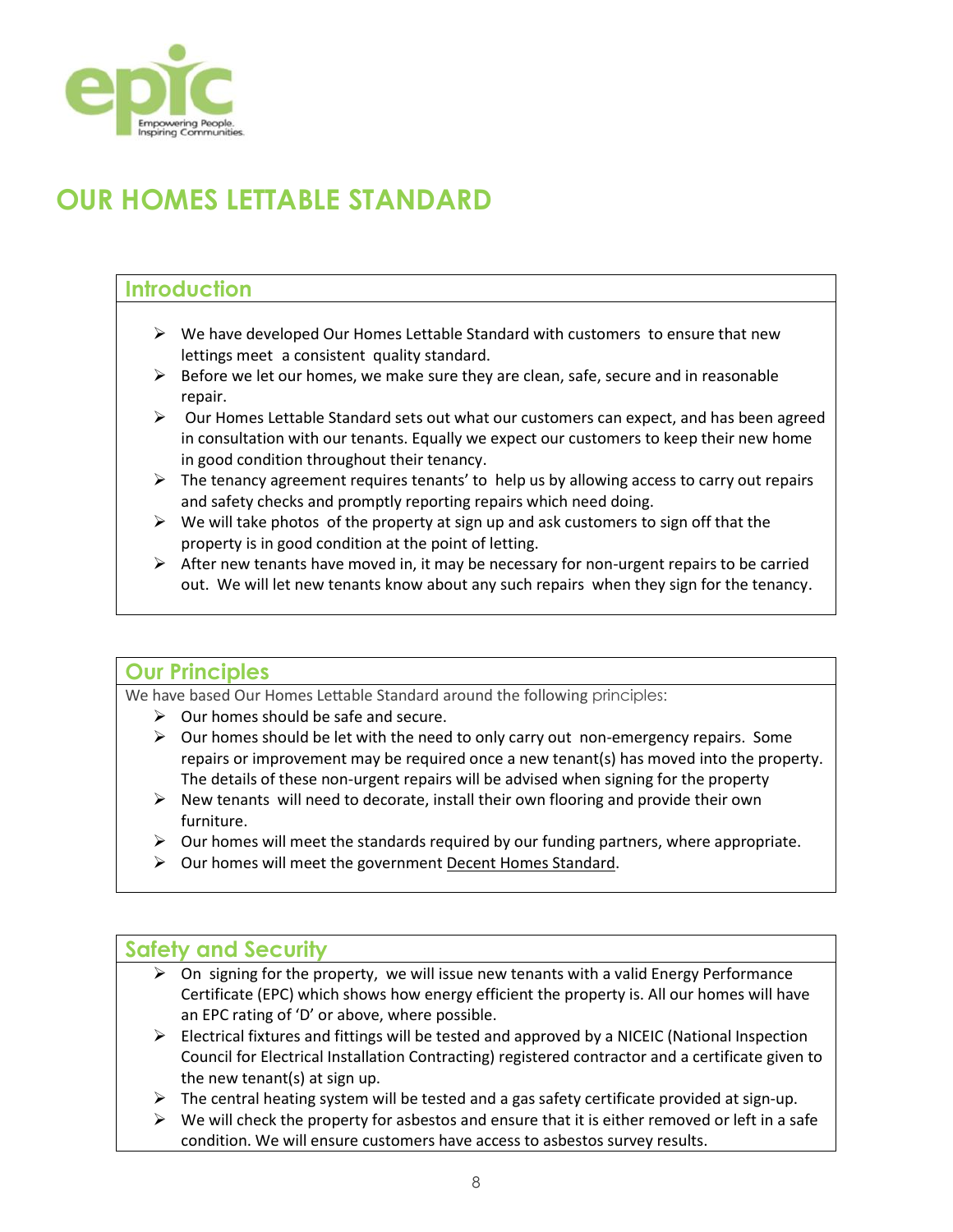

## **OUR HOMES LETTABLE STANDARD**

### **Introduction**

- $\triangleright$  We have developed Our Homes Lettable Standard with customers to ensure that new lettings meet a consistent quality standard.
- $\triangleright$  Before we let our homes, we make sure they are clean, safe, secure and in reasonable repair.
- $\triangleright$  Our Homes Lettable Standard sets out what our customers can expect, and has been agreed in consultation with our tenants. Equally we expect our customers to keep their new home in good condition throughout their tenancy.
- $\triangleright$  The tenancy agreement requires tenants' to help us by allowing access to carry out repairs and safety checks and promptly reporting repairs which need doing.
- $\triangleright$  We will take photos of the property at sign up and ask customers to sign off that the property is in good condition at the point of letting.
- $\triangleright$  After new tenants have moved in, it may be necessary for non-urgent repairs to be carried out. We will let new tenants know about any such repairs when they sign for the tenancy.

#### **Our Principles**

We have based Our Homes Lettable Standard around the following principles:

- $\triangleright$  Our homes should be safe and secure.
- $\triangleright$  Our homes should be let with the need to only carry out non-emergency repairs. Some repairs or improvement may be required once a new tenant(s) has moved into the property. The details of these non-urgent repairs will be advised when signing for the property
- $\triangleright$  New tenants will need to decorate, install their own flooring and provide their own furniture.
- $\triangleright$  Our homes will meet the standards required by our funding partners, where appropriate.
- $\triangleright$  Our homes will meet the government [Decent Homes Standard.](https://www.gov.uk/government/publications/a-decent-home-definition-and-guidance)

#### **Safety and Security**

- $\triangleright$  On signing for the property, we will issue new tenants with a valid Energy Performance Certificate (EPC) which shows how energy efficient the property is. All our homes will have an EPC rating of 'D' or above, where possible.
- $\triangleright$  Electrical fixtures and fittings will be tested and approved by a NICEIC (National Inspection Council for Electrical Installation Contracting) registered contractor and a certificate given to the new tenant(s) at sign up.
- $\triangleright$  The central heating system will be tested and a gas safety certificate provided at sign-up.
- $\triangleright$  We will check the property for asbestos and ensure that it is either removed or left in a safe condition. We will ensure customers have access to asbestos survey results.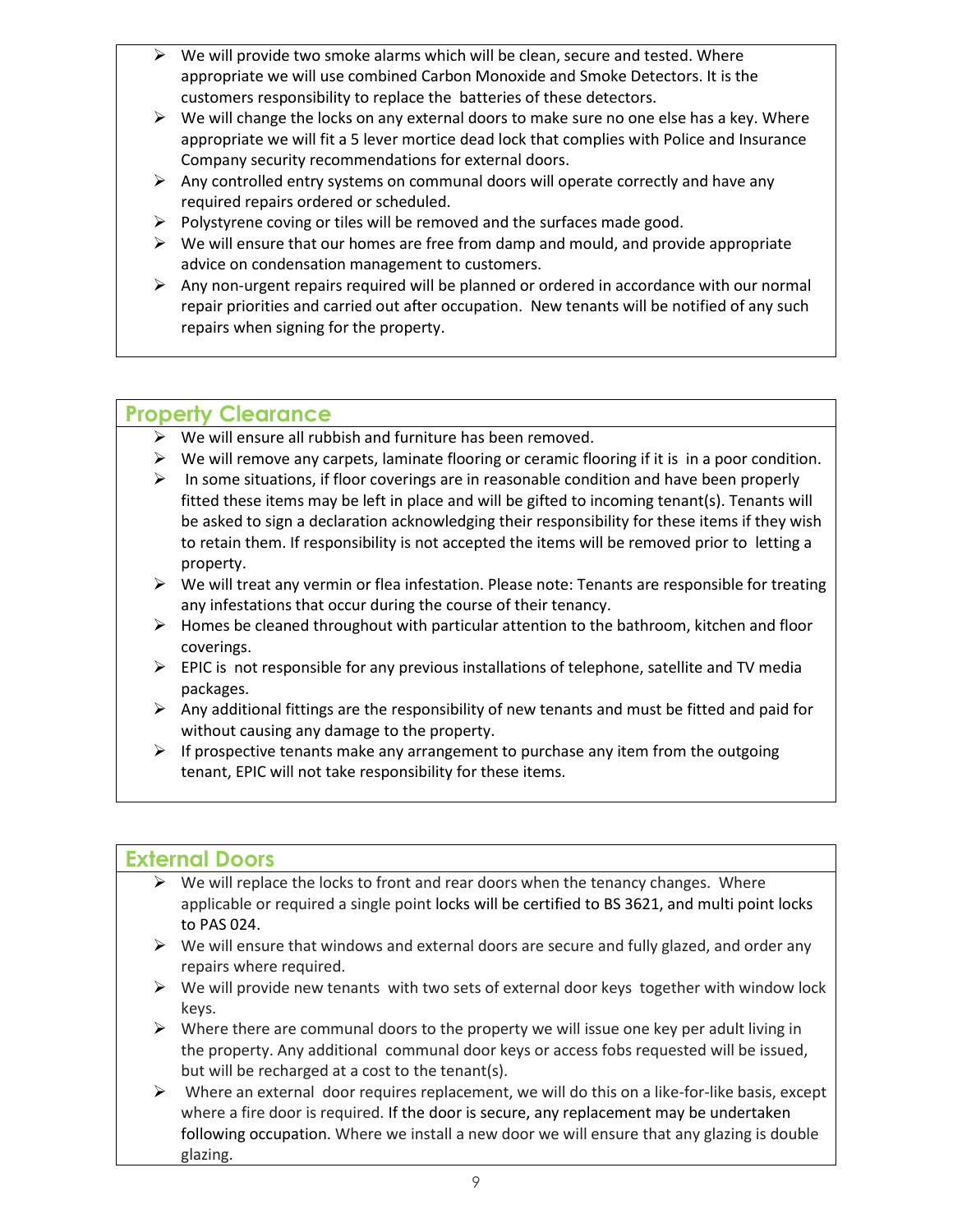- $\triangleright$  We will provide two smoke alarms which will be clean, secure and tested. Where appropriate we will use combined Carbon Monoxide and Smoke Detectors. It is the customers responsibility to replace the batteries of these detectors.
- $\triangleright$  We will change the locks on any external doors to make sure no one else has a key. Where appropriate we will fit a 5 lever mortice dead lock that complies with Police and Insurance Company security recommendations for external doors.
- $\triangleright$  Any controlled entry systems on communal doors will operate correctly and have any required repairs ordered or scheduled.
- $\triangleright$  Polystyrene coving or tiles will be removed and the surfaces made good.
- $\triangleright$  We will ensure that our homes are free from damp and mould, and provide appropriate advice on condensation management to customers.
- $\triangleright$  Any non-urgent repairs required will be planned or ordered in accordance with our normal repair priorities and carried out after occupation. New tenants will be notified of any such repairs when signing for the property.

## **Property Clearance**

- $\triangleright$  We will ensure all rubbish and furniture has been removed.
- $\triangleright$  We will remove any carpets, laminate flooring or ceramic flooring if it is in a poor condition.
- $\triangleright$  In some situations, if floor coverings are in reasonable condition and have been properly fitted these items may be left in place and will be gifted to incoming tenant(s). Tenants will be asked to sign a declaration acknowledging their responsibility for these items if they wish to retain them. If responsibility is not accepted the items will be removed prior to letting a property.
- $\triangleright$  We will treat any vermin or flea infestation. Please note: Tenants are responsible for treating any infestations that occur during the course of their tenancy.
- $\triangleright$  Homes be cleaned throughout with particular attention to the bathroom, kitchen and floor coverings.
- $\triangleright$  EPIC is not responsible for any previous installations of telephone, satellite and TV media packages.
- $\triangleright$  Any additional fittings are the responsibility of new tenants and must be fitted and paid for without causing any damage to the property.
- $\triangleright$  If prospective tenants make any arrangement to purchase any item from the outgoing tenant, EPIC will not take responsibility for these items.

## **External Doors**

- We will replace the locks to front and rear doors when the tenancy changes. Where applicable or required a single point locks will be certified to BS 3621, and multi point locks to PAS 024.
- $\triangleright$  We will ensure that windows and external doors are secure and fully glazed, and order any repairs where required.
- $\triangleright$  We will provide new tenants with two sets of external door keys together with window lock keys.
- $\triangleright$  Where there are communal doors to the property we will issue one key per adult living in the property. Any additional communal door keys or access fobs requested will be issued, but will be recharged at a cost to the tenant(s).
- $\triangleright$  Where an external door requires replacement, we will do this on a like-for-like basis, except where a fire door is required. If the door is secure, any replacement may be undertaken following occupation. Where we install a new door we will ensure that any glazing is double glazing.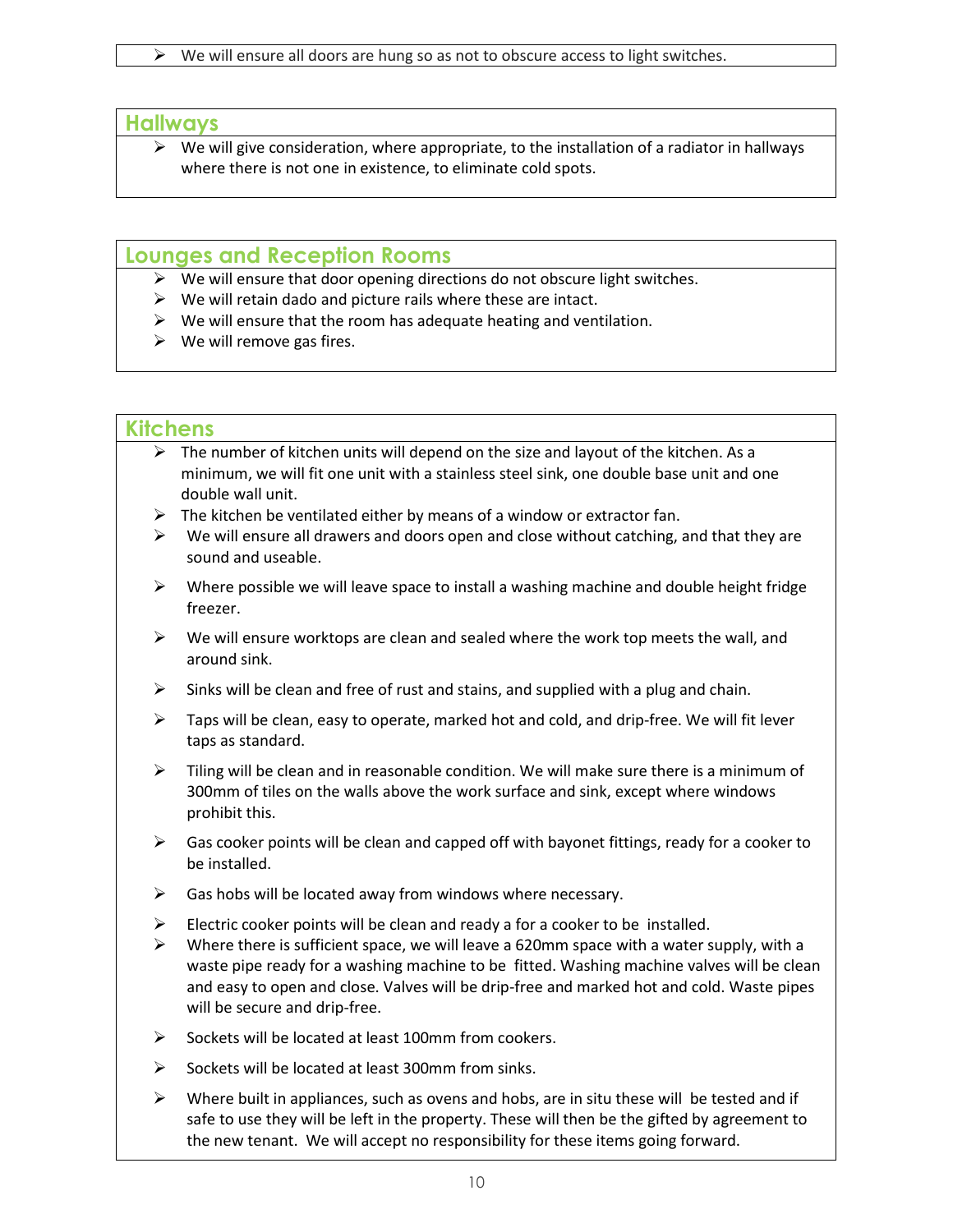#### **Hallways**

 $\triangleright$  We will give consideration, where appropriate, to the installation of a radiator in hallways where there is not one in existence, to eliminate cold spots.

#### **Lounges and Reception Rooms**

- $\triangleright$  We will ensure that door opening directions do not obscure light switches.
- $\triangleright$  We will retain dado and picture rails where these are intact.
- $\triangleright$  We will ensure that the room has adequate heating and ventilation.
- $\triangleright$  We will remove gas fires.

#### **Kitchens**

- $\triangleright$  The number of kitchen units will depend on the size and layout of the kitchen. As a minimum, we will fit one unit with a stainless steel sink, one double base unit and one double wall unit.
- $\triangleright$  The kitchen be ventilated either by means of a window or extractor fan.
- $\triangleright$  We will ensure all drawers and doors open and close without catching, and that they are sound and useable.
- $\triangleright$  Where possible we will leave space to install a washing machine and double height fridge freezer.
- $\triangleright$  We will ensure worktops are clean and sealed where the work top meets the wall, and around sink.
- $\triangleright$  Sinks will be clean and free of rust and stains, and supplied with a plug and chain.
- $\triangleright$  Taps will be clean, easy to operate, marked hot and cold, and drip-free. We will fit lever taps as standard.
- $\triangleright$  Tiling will be clean and in reasonable condition. We will make sure there is a minimum of 300mm of tiles on the walls above the work surface and sink, except where windows prohibit this.
- $\triangleright$  Gas cooker points will be clean and capped off with bayonet fittings, ready for a cooker to be installed.
- $\triangleright$  Gas hobs will be located away from windows where necessary.
- Electric cooker points will be clean and ready a for a cooker to be installed.
- $\triangleright$  Where there is sufficient space, we will leave a 620mm space with a water supply, with a waste pipe ready for a washing machine to be fitted. Washing machine valves will be clean and easy to open and close. Valves will be drip-free and marked hot and cold. Waste pipes will be secure and drip-free.
- $\triangleright$  Sockets will be located at least 100mm from cookers.
- $\triangleright$  Sockets will be located at least 300mm from sinks.
- $\triangleright$  Where built in appliances, such as ovens and hobs, are in situ these will be tested and if safe to use they will be left in the property. These will then be the gifted by agreement to the new tenant. We will accept no responsibility for these items going forward.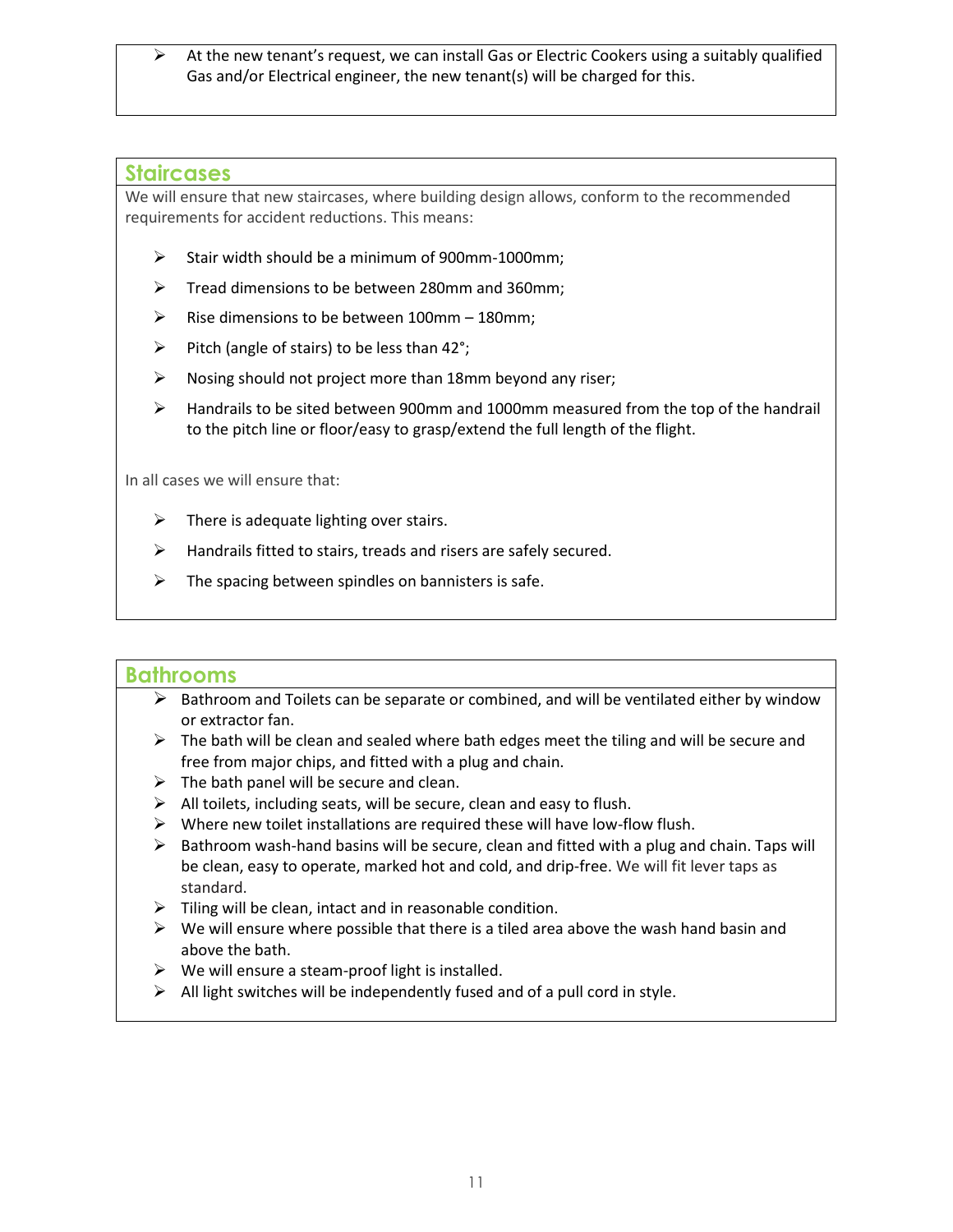$\triangleright$  At the new tenant's request, we can install Gas or Electric Cookers using a suitably qualified Gas and/or Electrical engineer, the new tenant(s) will be charged for this.

#### **Staircases**

We will ensure that new staircases, where building design allows, conform to the recommended requirements for accident reductions. This means:

- $\triangleright$  Stair width should be a minimum of 900mm-1000mm;
- $\triangleright$  Tread dimensions to be between 280mm and 360mm;
- $\triangleright$  Rise dimensions to be between 100mm 180mm;
- $\triangleright$  Pitch (angle of stairs) to be less than 42°;
- $\triangleright$  Nosing should not project more than 18mm beyond any riser;
- $\triangleright$  Handrails to be sited between 900mm and 1000mm measured from the top of the handrail to the pitch line or floor/easy to grasp/extend the full length of the flight.

In all cases we will ensure that:

- $\triangleright$  There is adequate lighting over stairs.
- $\triangleright$  Handrails fitted to stairs, treads and risers are safely secured.
- $\triangleright$  The spacing between spindles on bannisters is safe.

#### **Bathrooms**

- $\triangleright$  Bathroom and Toilets can be separate or combined, and will be ventilated either by window or extractor fan.
- $\triangleright$  The bath will be clean and sealed where bath edges meet the tiling and will be secure and free from major chips, and fitted with a plug and chain.
- $\triangleright$  The bath panel will be secure and clean.
- $\triangleright$  All toilets, including seats, will be secure, clean and easy to flush.
- $\triangleright$  Where new toilet installations are required these will have low-flow flush.
- $\triangleright$  Bathroom wash-hand basins will be secure, clean and fitted with a plug and chain. Taps will be clean, easy to operate, marked hot and cold, and drip-free. We will fit lever taps as standard.
- $\triangleright$  Tiling will be clean, intact and in reasonable condition.
- $\triangleright$  We will ensure where possible that there is a tiled area above the wash hand basin and above the bath.
- $\triangleright$  We will ensure a steam-proof light is installed.
- $\triangleright$  All light switches will be independently fused and of a pull cord in style.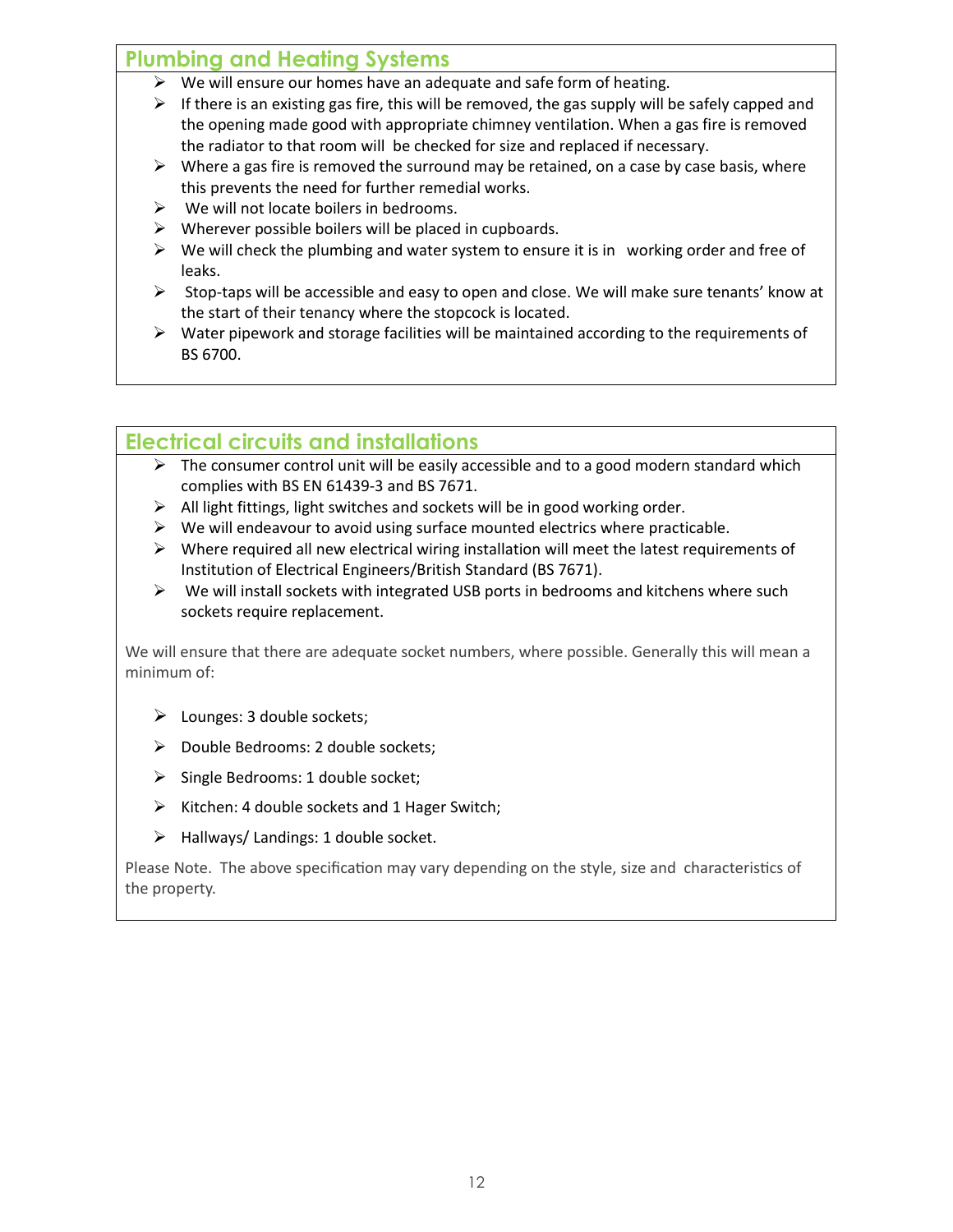## **Plumbing and Heating Systems**

- $\triangleright$  We will ensure our homes have an adequate and safe form of heating.
- $\triangleright$  If there is an existing gas fire, this will be removed, the gas supply will be safely capped and the opening made good with appropriate chimney ventilation. When a gas fire is removed the radiator to that room will be checked for size and replaced if necessary.
- $\triangleright$  Where a gas fire is removed the surround may be retained, on a case by case basis, where this prevents the need for further remedial works.
- $\triangleright$  We will not locate boilers in bedrooms.
- $\triangleright$  Wherever possible boilers will be placed in cupboards.
- $\triangleright$  We will check the plumbing and water system to ensure it is in working order and free of leaks.
- $\triangleright$  Stop-taps will be accessible and easy to open and close. We will make sure tenants' know at the start of their tenancy where the stopcock is located.
- $\triangleright$  Water pipework and storage facilities will be maintained according to the requirements of BS 6700.

## **Electrical circuits and installations**

- $\triangleright$  The consumer control unit will be easily accessible and to a good modern standard which complies with BS EN 61439-3 and BS 7671.
- $\triangleright$  All light fittings, light switches and sockets will be in good working order.
- $\triangleright$  We will endeavour to avoid using surface mounted electrics where practicable.
- $\triangleright$  Where required all new electrical wiring installation will meet the latest requirements of Institution of Electrical Engineers/British Standard (BS 7671).
- $\triangleright$  We will install sockets with integrated USB ports in bedrooms and kitchens where such sockets require replacement.

We will ensure that there are adequate socket numbers, where possible. Generally this will mean a minimum of:

- $\triangleright$  Lounges: 3 double sockets;
- Double Bedrooms: 2 double sockets;
- $\triangleright$  Single Bedrooms: 1 double socket;
- $\triangleright$  Kitchen: 4 double sockets and 1 Hager Switch;
- $\triangleright$  Hallways/ Landings: 1 double socket.

Please Note. The above specification may vary depending on the style, size and characteristics of the property.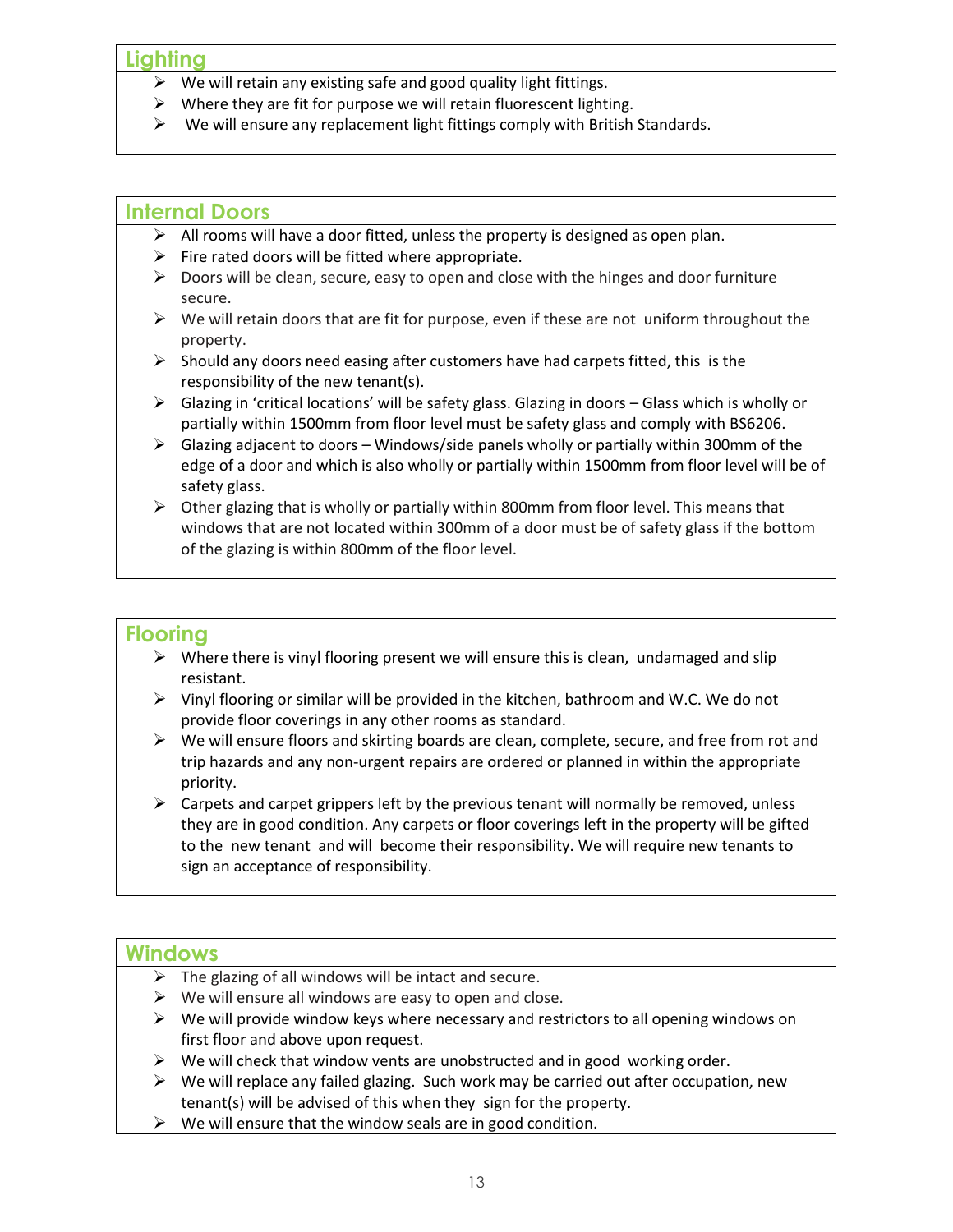#### **Lighting**

- $\triangleright$  We will retain any existing safe and good quality light fittings.
- $\triangleright$  Where they are fit for purpose we will retain fluorescent lighting.
- $\triangleright$  We will ensure any replacement light fittings comply with British Standards.

#### **Internal Doors**

- $\triangleright$  All rooms will have a door fitted, unless the property is designed as open plan.
- $\triangleright$  Fire rated doors will be fitted where appropriate.
- $\triangleright$  Doors will be clean, secure, easy to open and close with the hinges and door furniture secure.
- $\triangleright$  We will retain doors that are fit for purpose, even if these are not uniform throughout the property.
- $\triangleright$  Should any doors need easing after customers have had carpets fitted, this is the responsibility of the new tenant(s).
- $\triangleright$  Glazing in 'critical locations' will be safety glass. Glazing in doors Glass which is wholly or partially within 1500mm from floor level must be safety glass and comply with BS6206.
- $\triangleright$  Glazing adjacent to doors Windows/side panels wholly or partially within 300mm of the edge of a door and which is also wholly or partially within 1500mm from floor level will be of safety glass.
- $\triangleright$  Other glazing that is wholly or partially within 800mm from floor level. This means that windows that are not located within 300mm of a door must be of safety glass if the bottom of the glazing is within 800mm of the floor level.

#### **Flooring**

- $\triangleright$  Where there is vinyl flooring present we will ensure this is clean, undamaged and slip resistant.
- $\triangleright$  Vinyl flooring or similar will be provided in the kitchen, bathroom and W.C. We do not provide floor coverings in any other rooms as standard.
- $\triangleright$  We will ensure floors and skirting boards are clean, complete, secure, and free from rot and trip hazards and any non-urgent repairs are ordered or planned in within the appropriate priority.
- $\triangleright$  Carpets and carpet grippers left by the previous tenant will normally be removed, unless they are in good condition. Any carpets or floor coverings left in the property will be gifted to the new tenant and will become their responsibility. We will require new tenants to sign an acceptance of responsibility.

#### **Windows**

- $\triangleright$  The glazing of all windows will be intact and secure.
- $\triangleright$  We will ensure all windows are easy to open and close.
- $\triangleright$  We will provide window keys where necessary and restrictors to all opening windows on first floor and above upon request.
- $\triangleright$  We will check that window vents are unobstructed and in good working order.
- $\triangleright$  We will replace any failed glazing. Such work may be carried out after occupation, new tenant(s) will be advised of this when they sign for the property.
- $\triangleright$  We will ensure that the window seals are in good condition.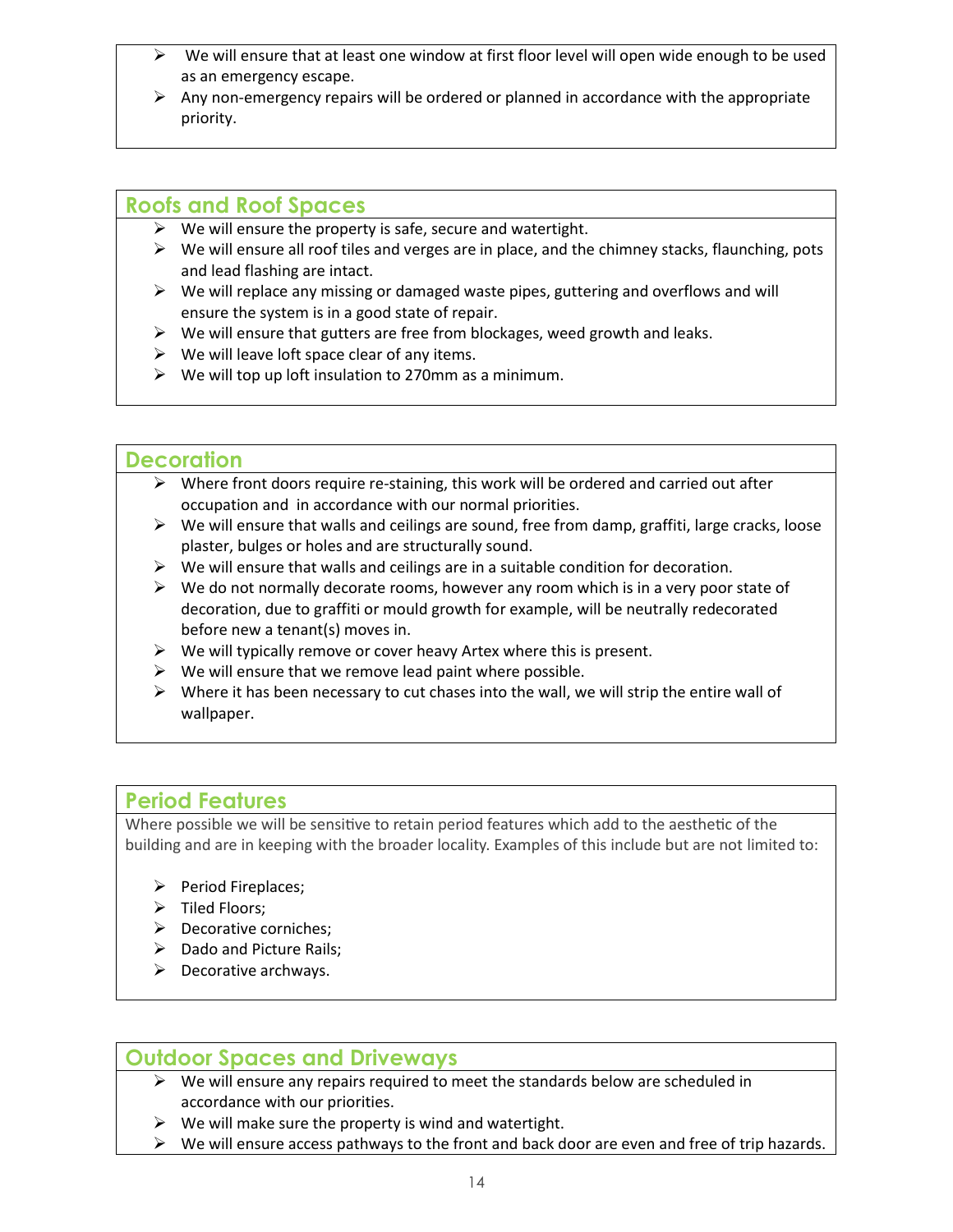- We will ensure that at least one window at first floor level will open wide enough to be used as an emergency escape.
- $\triangleright$  Any non-emergency repairs will be ordered or planned in accordance with the appropriate priority.

#### **Roofs and Roof Spaces**

- $\triangleright$  We will ensure the property is safe, secure and watertight.
- $\triangleright$  We will ensure all roof tiles and verges are in place, and the chimney stacks, flaunching, pots and lead flashing are intact.
- $\triangleright$  We will replace any missing or damaged waste pipes, guttering and overflows and will ensure the system is in a good state of repair.
- $\triangleright$  We will ensure that gutters are free from blockages, weed growth and leaks.
- $\triangleright$  We will leave loft space clear of any items.
- $\triangleright$  We will top up loft insulation to 270mm as a minimum.

#### **Decoration**

- $\triangleright$  Where front doors require re-staining, this work will be ordered and carried out after occupation and in accordance with our normal priorities.
- $\triangleright$  We will ensure that walls and ceilings are sound, free from damp, graffiti, large cracks, loose plaster, bulges or holes and are structurally sound.
- $\triangleright$  We will ensure that walls and ceilings are in a suitable condition for decoration.
- $\triangleright$  We do not normally decorate rooms, however any room which is in a very poor state of decoration, due to graffiti or mould growth for example, will be neutrally redecorated before new a tenant(s) moves in.
- $\triangleright$  We will typically remove or cover heavy Artex where this is present.
- $\triangleright$  We will ensure that we remove lead paint where possible.
- $\triangleright$  Where it has been necessary to cut chases into the wall, we will strip the entire wall of wallpaper.

#### **Period Features**

Where possible we will be sensitive to retain period features which add to the aesthetic of the building and are in keeping with the broader locality. Examples of this include but are not limited to:

- $\triangleright$  Period Fireplaces;
- $\triangleright$  Tiled Floors;
- $\triangleright$  Decorative corniches;
- $\triangleright$  Dado and Picture Rails;
- $\triangleright$  Decorative archways.

#### **Outdoor Spaces and Driveways**

- $\triangleright$  We will ensure any repairs required to meet the standards below are scheduled in accordance with our priorities.
- $\triangleright$  We will make sure the property is wind and watertight.
- $\triangleright$  We will ensure access pathways to the front and back door are even and free of trip hazards.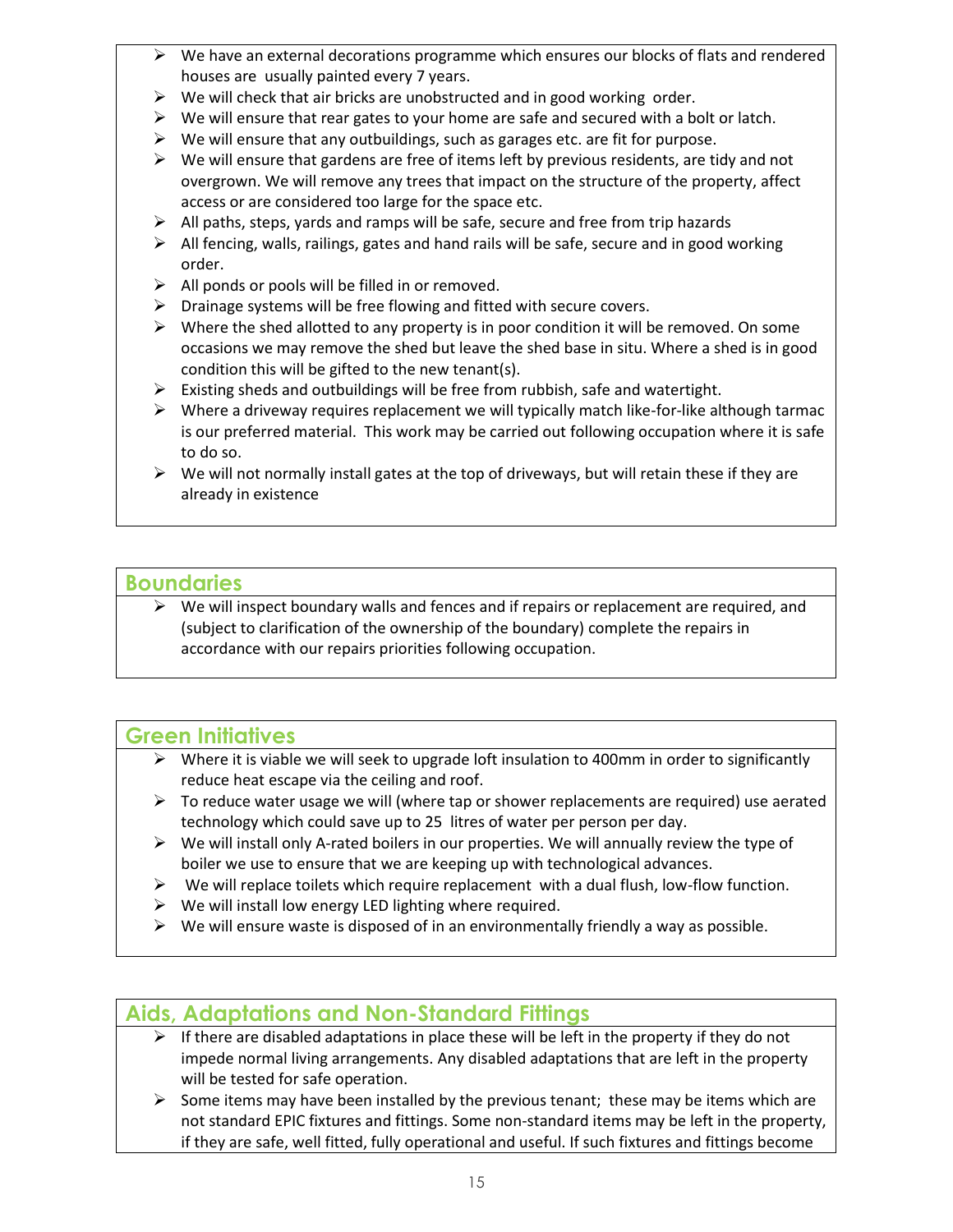- $\triangleright$  We have an external decorations programme which ensures our blocks of flats and rendered houses are usually painted every 7 years.
- $\triangleright$  We will check that air bricks are unobstructed and in good working order.
- $\triangleright$  We will ensure that rear gates to your home are safe and secured with a bolt or latch.
- $\triangleright$  We will ensure that any outbuildings, such as garages etc. are fit for purpose.
- $\triangleright$  We will ensure that gardens are free of items left by previous residents, are tidy and not overgrown. We will remove any trees that impact on the structure of the property, affect access or are considered too large for the space etc.
- $\triangleright$  All paths, steps, yards and ramps will be safe, secure and free from trip hazards
- $\triangleright$  All fencing, walls, railings, gates and hand rails will be safe, secure and in good working order.
- $\triangleright$  All ponds or pools will be filled in or removed.
- $\triangleright$  Drainage systems will be free flowing and fitted with secure covers.
- $\triangleright$  Where the shed allotted to any property is in poor condition it will be removed. On some occasions we may remove the shed but leave the shed base in situ. Where a shed is in good condition this will be gifted to the new tenant(s).
- $\triangleright$  Existing sheds and outbuildings will be free from rubbish, safe and watertight.
- $\triangleright$  Where a driveway requires replacement we will typically match like-for-like although tarmac is our preferred material. This work may be carried out following occupation where it is safe to do so.
- $\triangleright$  We will not normally install gates at the top of driveways, but will retain these if they are already in existence

#### **Boundaries**

 $\triangleright$  We will inspect boundary walls and fences and if repairs or replacement are required, and (subject to clarification of the ownership of the boundary) complete the repairs in accordance with our repairs priorities following occupation.

## **Green Initiatives**

- $\triangleright$  Where it is viable we will seek to upgrade loft insulation to 400mm in order to significantly reduce heat escape via the ceiling and roof.
- $\triangleright$  To reduce water usage we will (where tap or shower replacements are required) use aerated technology which could save up to 25 litres of water per person per day.
- $\triangleright$  We will install only A-rated boilers in our properties. We will annually review the type of boiler we use to ensure that we are keeping up with technological advances.
- $\triangleright$  We will replace toilets which require replacement with a dual flush, low-flow function.
- $\triangleright$  We will install low energy LED lighting where required.
- $\triangleright$  We will ensure waste is disposed of in an environmentally friendly a way as possible.

## **Aids, Adaptations and Non-Standard Fittings**

- $\triangleright$  If there are disabled adaptations in place these will be left in the property if they do not impede normal living arrangements. Any disabled adaptations that are left in the property will be tested for safe operation.
- $\triangleright$  Some items may have been installed by the previous tenant; these may be items which are not standard EPIC fixtures and fittings. Some non-standard items may be left in the property, if they are safe, well fitted, fully operational and useful. If such fixtures and fittings become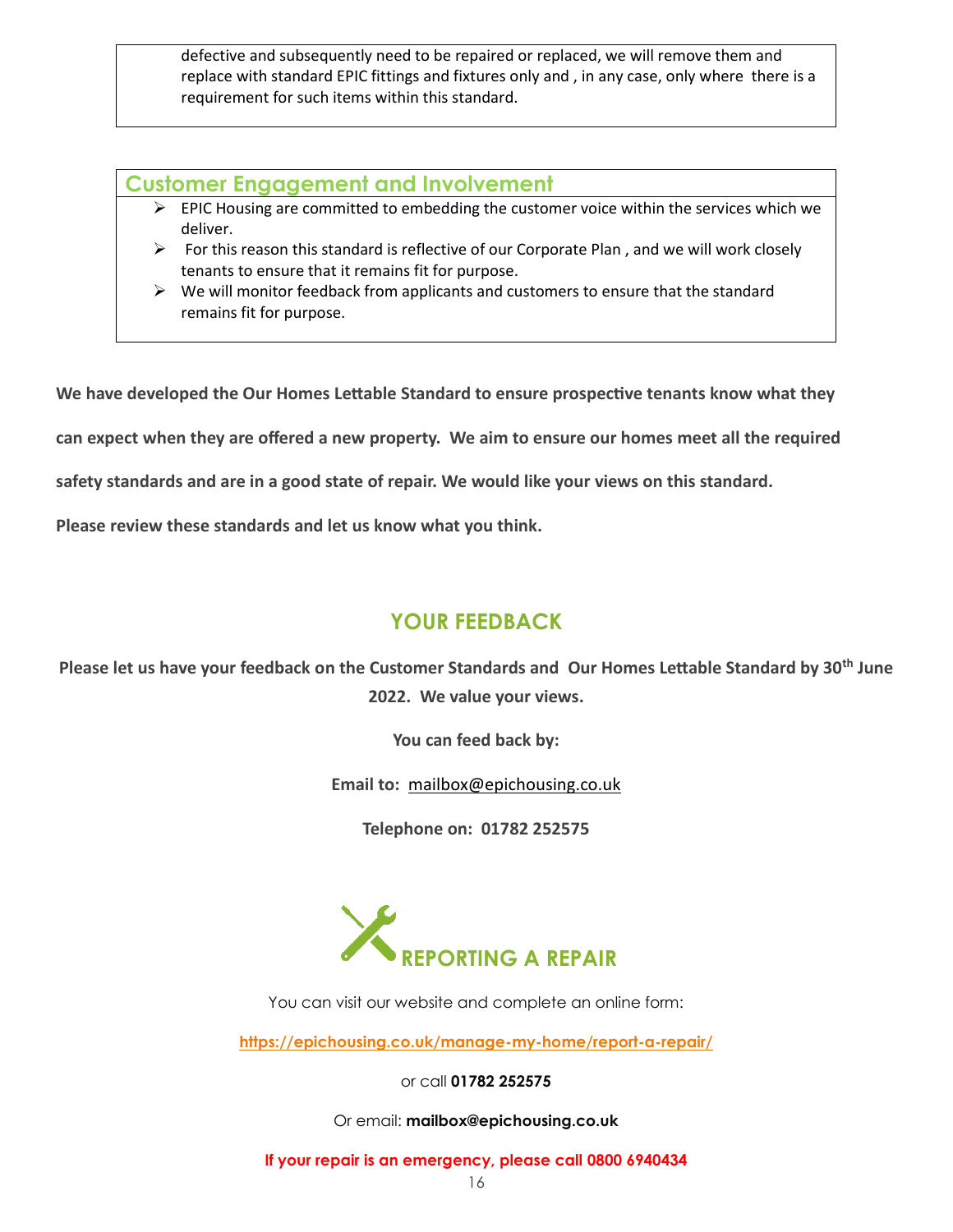defective and subsequently need to be repaired or replaced, we will remove them and replace with standard EPIC fittings and fixtures only and , in any case, only where there is a requirement for such items within this standard.

#### **Customer Engagement and Involvement**

- $\triangleright$  EPIC Housing are committed to embedding the customer voice within the services which we deliver.
- $\triangleright$  For this reason this standard is reflective of our Corporate Plan, and we will work closely tenants to ensure that it remains fit for purpose.
- $\triangleright$  We will monitor feedback from applicants and customers to ensure that the standard remains fit for purpose.

**We have developed the Our Homes Lettable Standard to ensure prospective tenants know what they** 

**can expect when they are offered a new property. We aim to ensure our homes meet all the required** 

**safety standards and are in a good state of repair. We would like your views on this standard.** 

**Please review these standards and let us know what you think.** 

## **YOUR FEEDBACK**

**Please let us have your feedback on the Customer Standards and Our Homes Lettable Standard by 30th June 2022. We value your views.**

**You can feed back by:**

**Email to:** [mailbox@epichousing.co.uk](mailto:mailbox@epichousing.co.uk)

**Telephone on: 01782 252575**



You can visit our website and complete an online form:

**<https://epichousing.co.uk/manage-my-home/report-a-repair/>**

or call **01782 252575**

Or email: **mailbox@epichousing.co.uk**

**If your repair is an emergency, please call 0800 6940434**